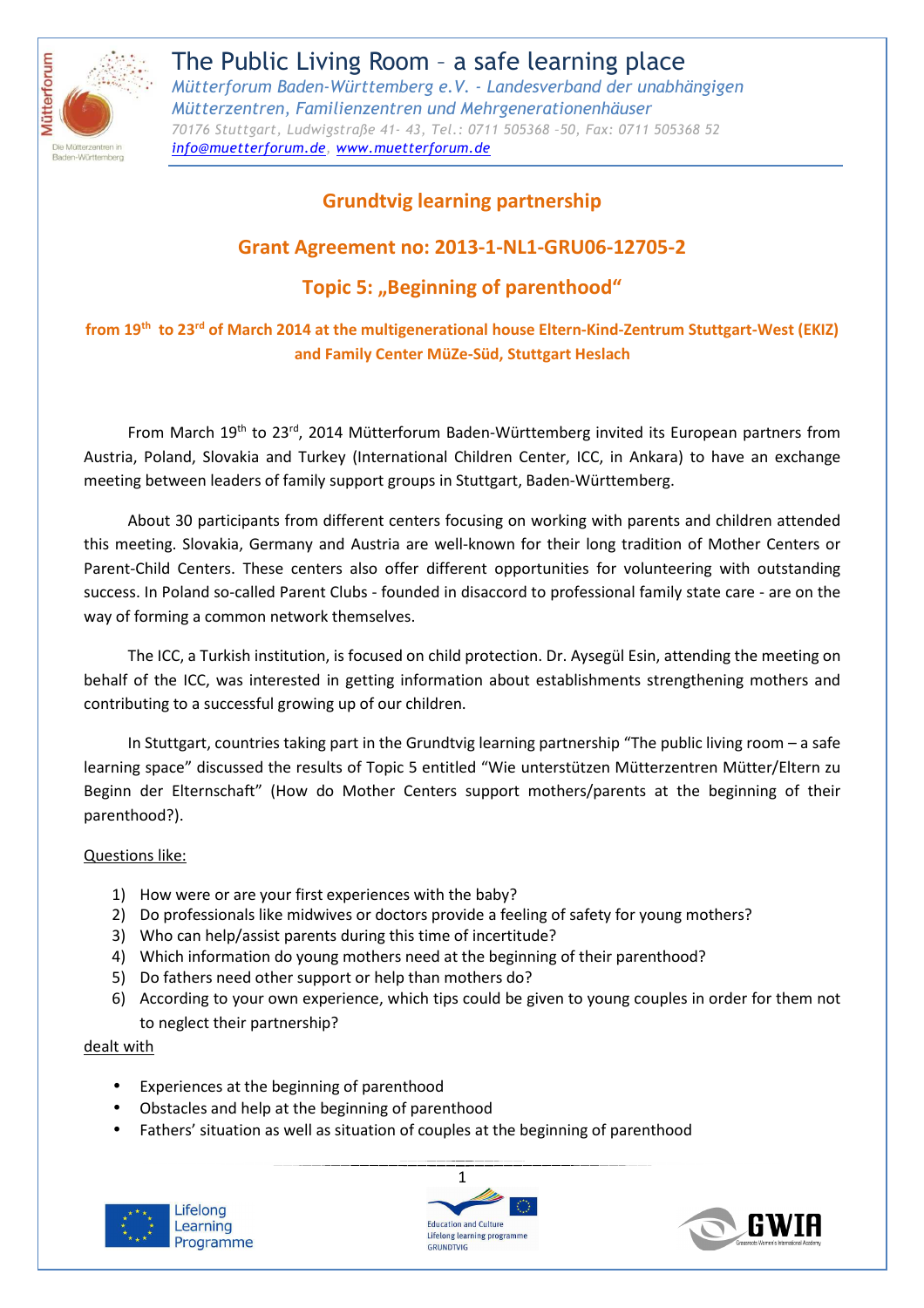

# **Grundtvig learning partnership**

# **Grant Agreement no: 2013-1-NL1-GRU06-12705-2**

# **Topic 5: "Beginning of parenthood"**

# **from 19th to 23rd of March 2014 at the multigenerational house Eltern-Kind-Zentrum Stuttgart-West (EKIZ) and Family Center MüZe-Süd, Stuttgart Heslach**

From March 19<sup>th</sup> to 23<sup>rd</sup>, 2014 Mütterforum Baden-Württemberg invited its European partners from Austria, Poland, Slovakia and Turkey (International Children Center, ICC, in Ankara) to have an exchange meeting between leaders of family support groups in Stuttgart, Baden-Württemberg.

About 30 participants from different centers focusing on working with parents and children attended this meeting. Slovakia, Germany and Austria are well-known for their long tradition of Mother Centers or Parent-Child Centers. These centers also offer different opportunities for volunteering with outstanding success. In Poland so-called Parent Clubs - founded in disaccord to professional family state care - are on the way of forming a common network themselves.

The ICC, a Turkish institution, is focused on child protection. Dr. Aysegül Esin, attending the meeting on behalf of the ICC, was interested in getting information about establishments strengthening mothers and contributing to a successful growing up of our children.

In Stuttgart, countries taking part in the Grundtvig learning partnership "The public living room – a safe learning space" discussed the results of Topic 5 entitled "Wie unterstützen Mütterzentren Mütter/Eltern zu Beginn der Elternschaft" (How do Mother Centers support mothers/parents at the beginning of their parenthood?).

### Questions like:

- 1) How were or are your first experiences with the baby?
- 2) Do professionals like midwives or doctors provide a feeling of safety for young mothers?
- 3) Who can help/assist parents during this time of incertitude?
- 4) Which information do young mothers need at the beginning of their parenthood?
- 5) Do fathers need other support or help than mothers do?
- 6) According to your own experience, which tips could be given to young couples in order for them not to neglect their partnership?

### dealt with

- Experiences at the beginning of parenthood
- Obstacles and help at the beginning of parenthood
- Fathers' situation as well as situation of couples at the beginning of parenthood





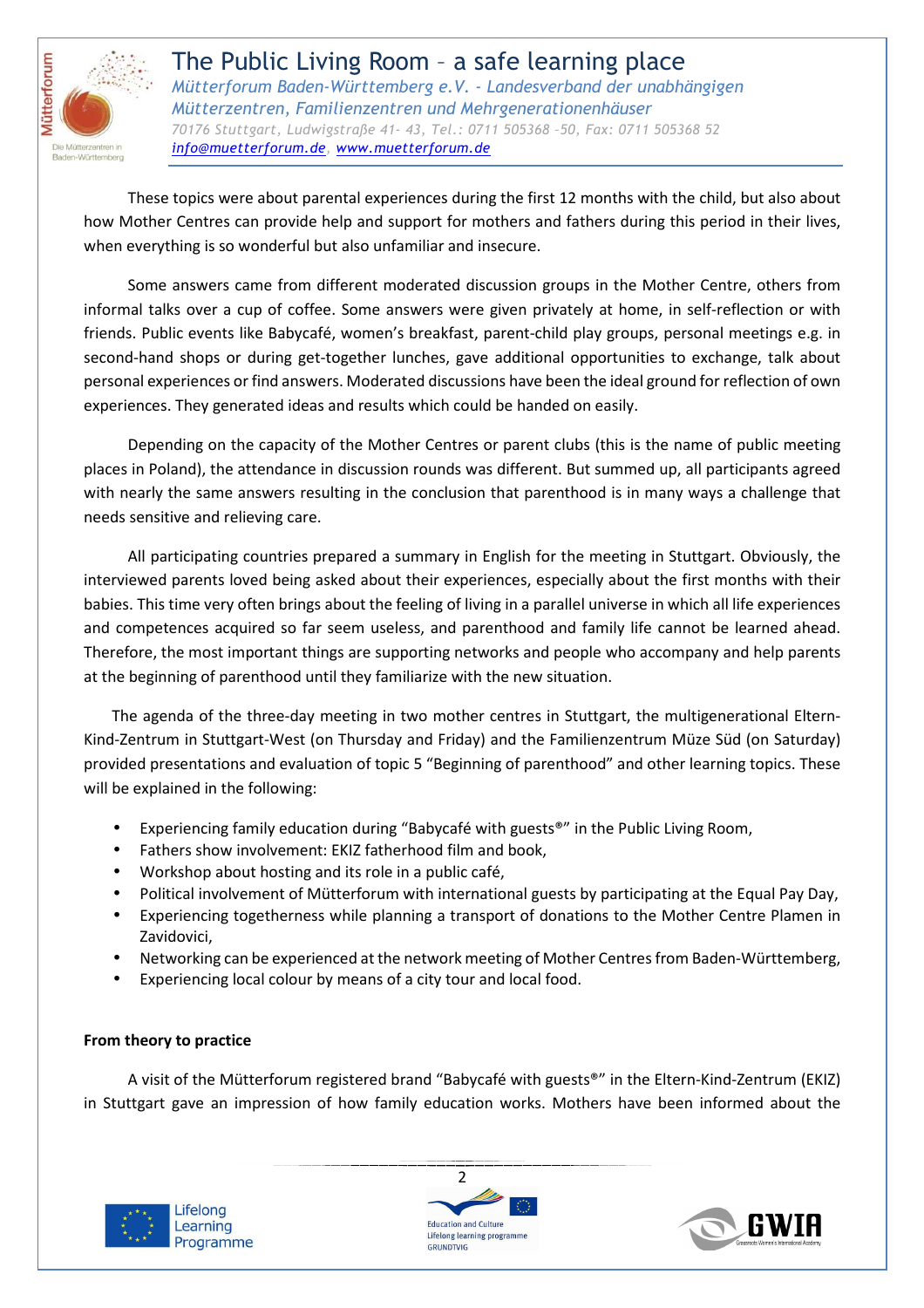

 These topics were about parental experiences during the first 12 months with the child, but also about how Mother Centres can provide help and support for mothers and fathers during this period in their lives, when everything is so wonderful but also unfamiliar and insecure.

Some answers came from different moderated discussion groups in the Mother Centre, others from informal talks over a cup of coffee. Some answers were given privately at home, in self-reflection or with friends. Public events like Babycafé, women's breakfast, parent-child play groups, personal meetings e.g. in second-hand shops or during get-together lunches, gave additional opportunities to exchange, talk about personal experiences or find answers. Moderated discussions have been the ideal ground for reflection of own experiences. They generated ideas and results which could be handed on easily.

Depending on the capacity of the Mother Centres or parent clubs (this is the name of public meeting places in Poland), the attendance in discussion rounds was different. But summed up, all participants agreed with nearly the same answers resulting in the conclusion that parenthood is in many ways a challenge that needs sensitive and relieving care.

All participating countries prepared a summary in English for the meeting in Stuttgart. Obviously, the interviewed parents loved being asked about their experiences, especially about the first months with their babies. This time very often brings about the feeling of living in a parallel universe in which all life experiences and competences acquired so far seem useless, and parenthood and family life cannot be learned ahead. Therefore, the most important things are supporting networks and people who accompany and help parents at the beginning of parenthood until they familiarize with the new situation.

The agenda of the three-day meeting in two mother centres in Stuttgart, the multigenerational Eltern-Kind-Zentrum in Stuttgart-West (on Thursday and Friday) and the Familienzentrum Müze Süd (on Saturday) provided presentations and evaluation of topic 5 "Beginning of parenthood" and other learning topics. These will be explained in the following:

- Experiencing family education during "Babycafé with guests®" in the Public Living Room,
- Fathers show involvement: EKIZ fatherhood film and book,
- Workshop about hosting and its role in a public café,
- Political involvement of Mütterforum with international guests by participating at the Equal Pay Day,
- Experiencing togetherness while planning a transport of donations to the Mother Centre Plamen in Zavidovici,
- Networking can be experienced at the network meeting of Mother Centres from Baden-Württemberg,
- Experiencing local colour by means of a city tour and local food.

### **From theory to practice**

A visit of the Mütterforum registered brand "Babycafé with guests®" in the Eltern-Kind-Zentrum (EKIZ) in Stuttgart gave an impression of how family education works. Mothers have been informed about the





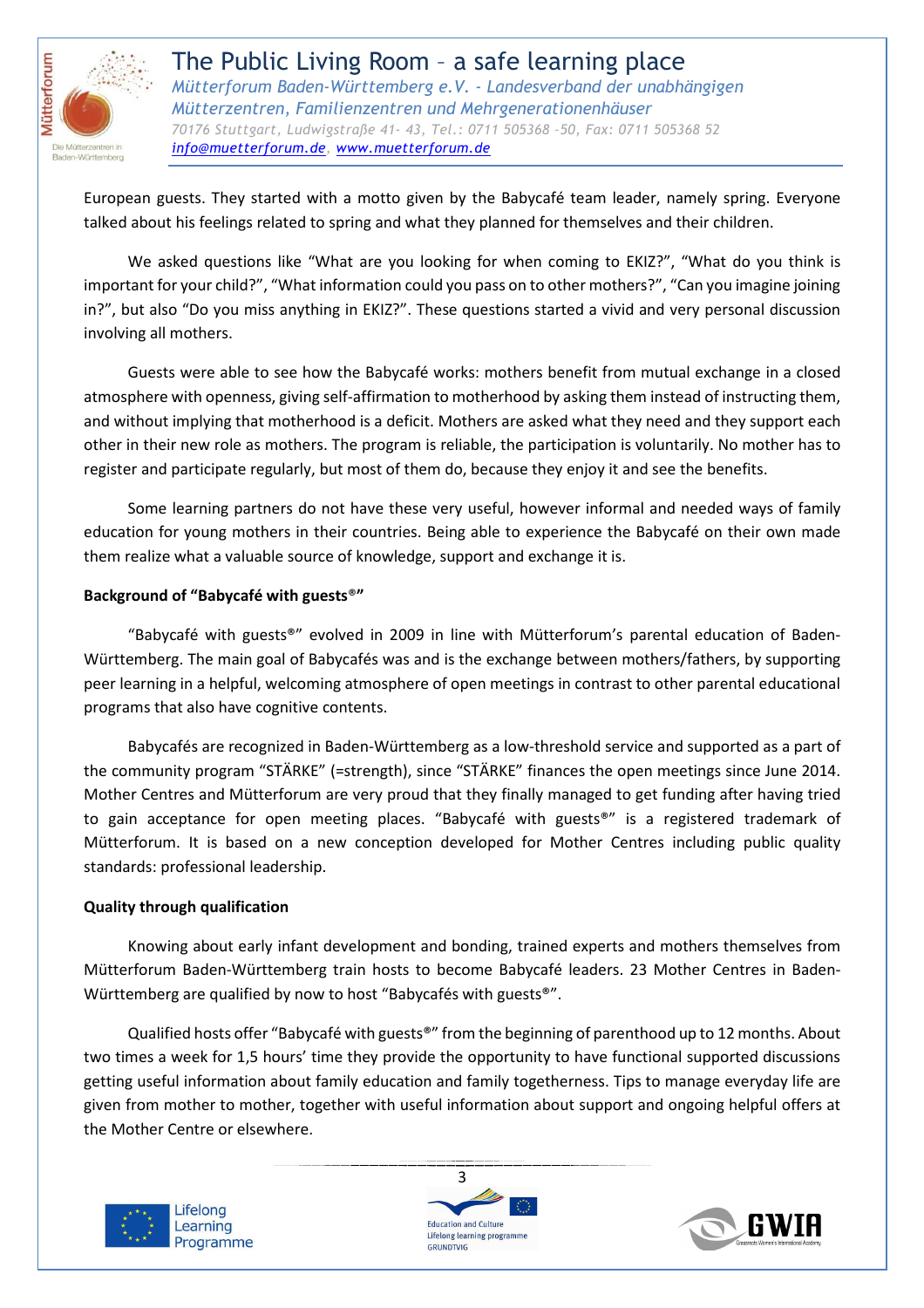

European guests. They started with a motto given by the Babycafé team leader, namely spring. Everyone talked about his feelings related to spring and what they planned for themselves and their children.

We asked questions like "What are you looking for when coming to EKIZ?", "What do you think is important for your child?", "What information could you pass on to other mothers?", "Can you imagine joining in?", but also "Do you miss anything in EKIZ?". These questions started a vivid and very personal discussion involving all mothers.

Guests were able to see how the Babycafé works: mothers benefit from mutual exchange in a closed atmosphere with openness, giving self-affirmation to motherhood by asking them instead of instructing them, and without implying that motherhood is a deficit. Mothers are asked what they need and they support each other in their new role as mothers. The program is reliable, the participation is voluntarily. No mother has to register and participate regularly, but most of them do, because they enjoy it and see the benefits.

Some learning partners do not have these very useful, however informal and needed ways of family education for young mothers in their countries. Being able to experience the Babycafé on their own made them realize what a valuable source of knowledge, support and exchange it is.

### **Background of "Babycafé with guests**®**"**

"Babycafé with guests®" evolved in 2009 in line with Mütterforum's parental education of Baden-Württemberg. The main goal of Babycafés was and is the exchange between mothers/fathers, by supporting peer learning in a helpful, welcoming atmosphere of open meetings in contrast to other parental educational programs that also have cognitive contents.

 Babycafés are recognized in Baden-Württemberg as a low-threshold service and supported as a part of the community program "STÄRKE" (=strength), since "STÄRKE" finances the open meetings since June 2014. Mother Centres and Mütterforum are very proud that they finally managed to get funding after having tried to gain acceptance for open meeting places. "Babycafé with guests®" is a registered trademark of Mütterforum. It is based on a new conception developed for Mother Centres including public quality standards: professional leadership.

#### **Quality through qualification**

Knowing about early infant development and bonding, trained experts and mothers themselves from Mütterforum Baden-Württemberg train hosts to become Babycafé leaders. 23 Mother Centres in Baden-Württemberg are qualified by now to host "Babycafés with guests®".

Qualified hosts offer "Babycafé with guests®" from the beginning of parenthood up to 12 months. About two times a week for 1,5 hours' time they provide the opportunity to have functional supported discussions getting useful information about family education and family togetherness. Tips to manage everyday life are given from mother to mother, together with useful information about support and ongoing helpful offers at the Mother Centre or elsewhere.





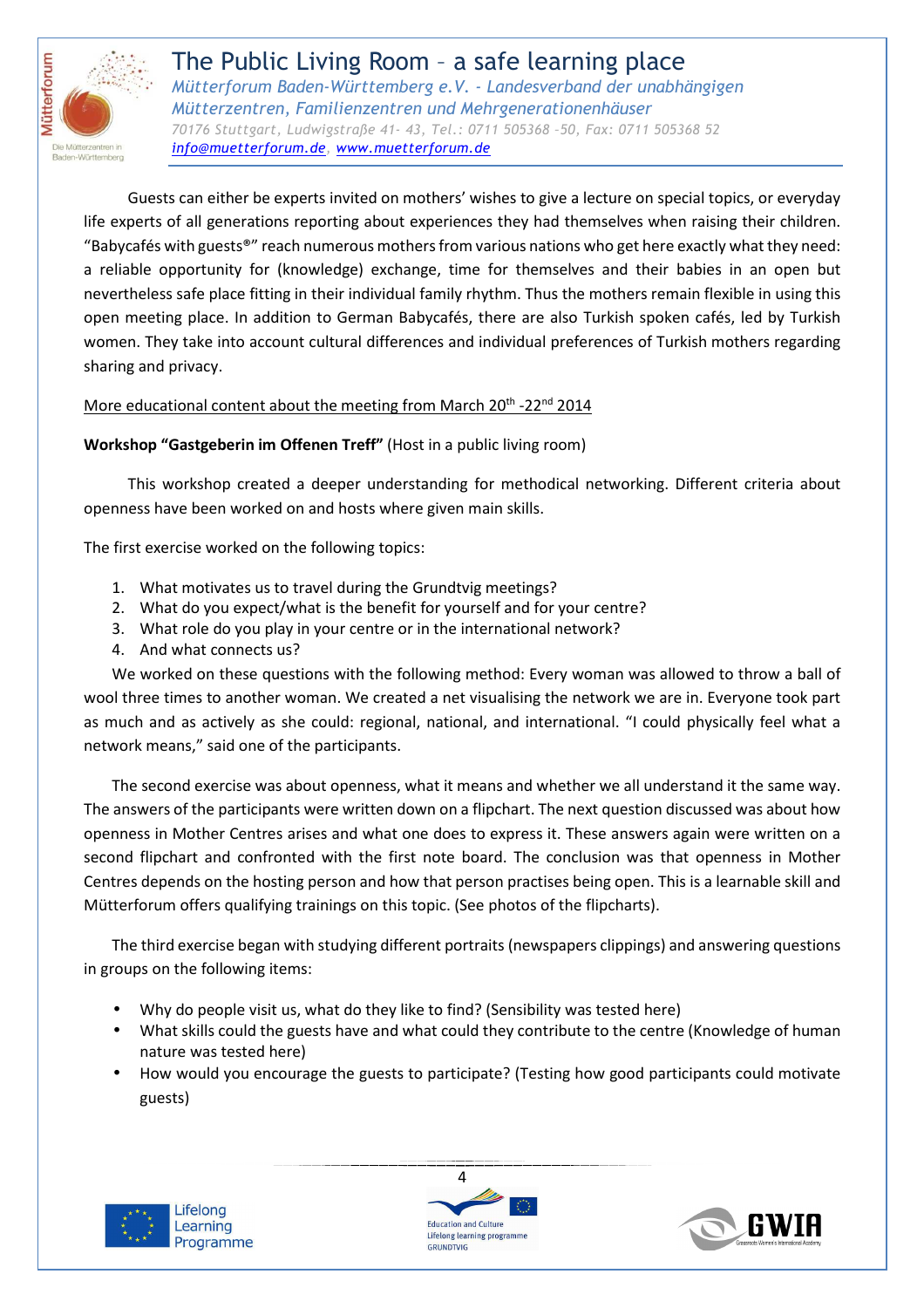

Guests can either be experts invited on mothers' wishes to give a lecture on special topics, or everyday life experts of all generations reporting about experiences they had themselves when raising their children. "Babycafés with guests®" reach numerous mothers from various nations who get here exactly what they need: a reliable opportunity for (knowledge) exchange, time for themselves and their babies in an open but nevertheless safe place fitting in their individual family rhythm. Thus the mothers remain flexible in using this open meeting place. In addition to German Babycafés, there are also Turkish spoken cafés, led by Turkish women. They take into account cultural differences and individual preferences of Turkish mothers regarding sharing and privacy.

## More educational content about the meeting from March 20<sup>th</sup> -22<sup>nd</sup> 2014

### **Workshop "Gastgeberin im Offenen Treff"** (Host in a public living room)

This workshop created a deeper understanding for methodical networking. Different criteria about openness have been worked on and hosts where given main skills.

The first exercise worked on the following topics:

- 1. What motivates us to travel during the Grundtvig meetings?
- 2. What do you expect/what is the benefit for yourself and for your centre?
- 3. What role do you play in your centre or in the international network?
- 4. And what connects us?

We worked on these questions with the following method: Every woman was allowed to throw a ball of wool three times to another woman. We created a net visualising the network we are in. Everyone took part as much and as actively as she could: regional, national, and international. "I could physically feel what a network means," said one of the participants.

The second exercise was about openness, what it means and whether we all understand it the same way. The answers of the participants were written down on a flipchart. The next question discussed was about how openness in Mother Centres arises and what one does to express it. These answers again were written on a second flipchart and confronted with the first note board. The conclusion was that openness in Mother Centres depends on the hosting person and how that person practises being open. This is a learnable skill and Mütterforum offers qualifying trainings on this topic. (See photos of the flipcharts).

The third exercise began with studying different portraits (newspapers clippings) and answering questions in groups on the following items:

- Why do people visit us, what do they like to find? (Sensibility was tested here)
- What skills could the guests have and what could they contribute to the centre (Knowledge of human nature was tested here)
- How would you encourage the guests to participate? (Testing how good participants could motivate guests)





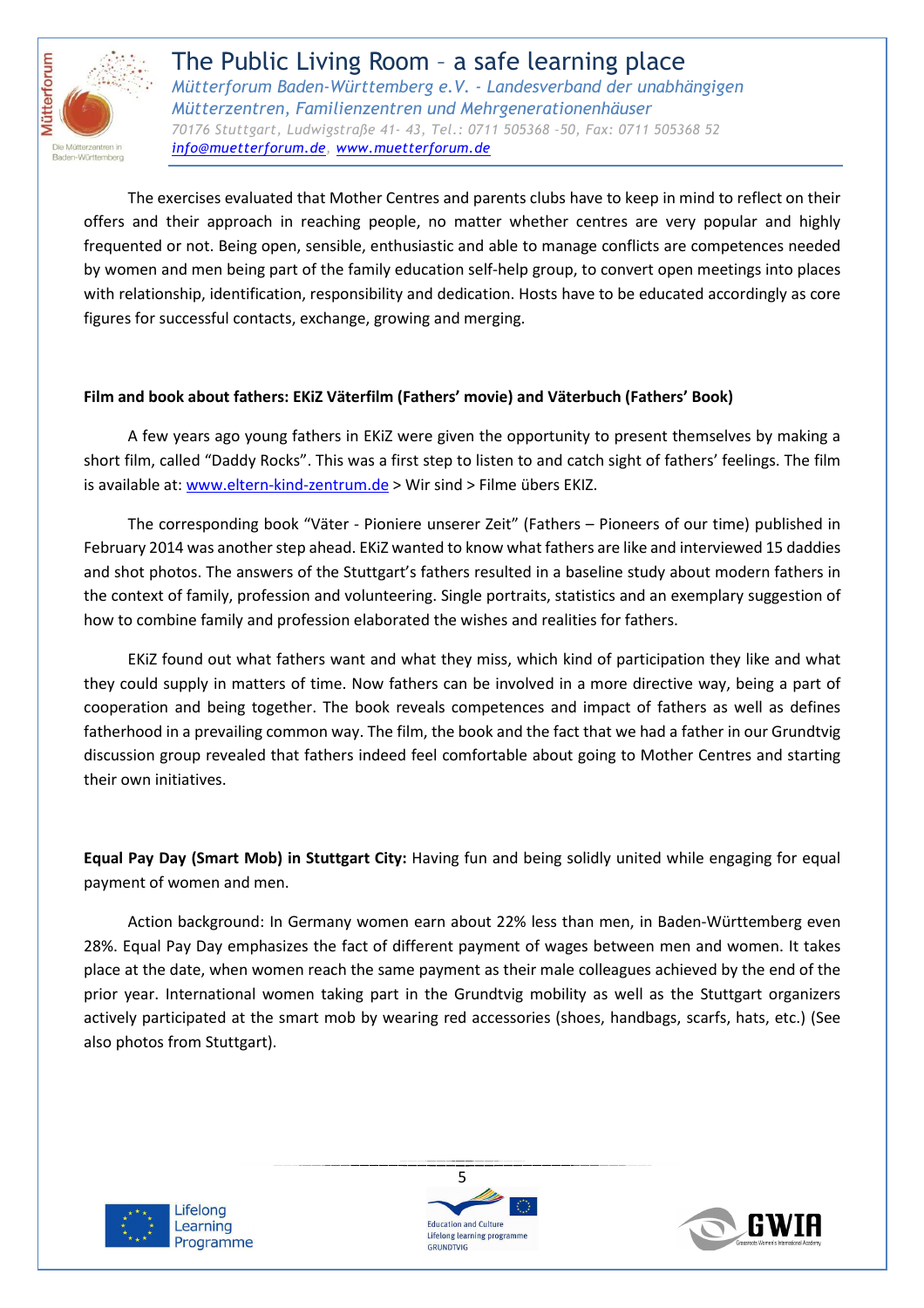

The exercises evaluated that Mother Centres and parents clubs have to keep in mind to reflect on their offers and their approach in reaching people, no matter whether centres are very popular and highly frequented or not. Being open, sensible, enthusiastic and able to manage conflicts are competences needed by women and men being part of the family education self-help group, to convert open meetings into places with relationship, identification, responsibility and dedication. Hosts have to be educated accordingly as core figures for successful contacts, exchange, growing and merging.

# **Film and book about fathers: EKiZ Väterfilm (Fathers' movie) and Väterbuch (Fathers' Book)**

A few years ago young fathers in EKiZ were given the opportunity to present themselves by making a short film, called "Daddy Rocks". This was a first step to listen to and catch sight of fathers' feelings. The film is available at: www.eltern-kind-zentrum.de > Wir sind > Filme übers EKIZ.

The corresponding book "Väter - Pioniere unserer Zeit" (Fathers – Pioneers of our time) published in February 2014 was another step ahead. EKiZ wanted to know what fathers are like and interviewed 15 daddies and shot photos. The answers of the Stuttgart's fathers resulted in a baseline study about modern fathers in the context of family, profession and volunteering. Single portraits, statistics and an exemplary suggestion of how to combine family and profession elaborated the wishes and realities for fathers.

EKiZ found out what fathers want and what they miss, which kind of participation they like and what they could supply in matters of time. Now fathers can be involved in a more directive way, being a part of cooperation and being together. The book reveals competences and impact of fathers as well as defines fatherhood in a prevailing common way. The film, the book and the fact that we had a father in our Grundtvig discussion group revealed that fathers indeed feel comfortable about going to Mother Centres and starting their own initiatives.

**Equal Pay Day (Smart Mob) in Stuttgart City:** Having fun and being solidly united while engaging for equal payment of women and men.

Action background: In Germany women earn about 22% less than men, in Baden-Württemberg even 28%. Equal Pay Day emphasizes the fact of different payment of wages between men and women. It takes place at the date, when women reach the same payment as their male colleagues achieved by the end of the prior year. International women taking part in the Grundtvig mobility as well as the Stuttgart organizers actively participated at the smart mob by wearing red accessories (shoes, handbags, scarfs, hats, etc.) (See also photos from Stuttgart).





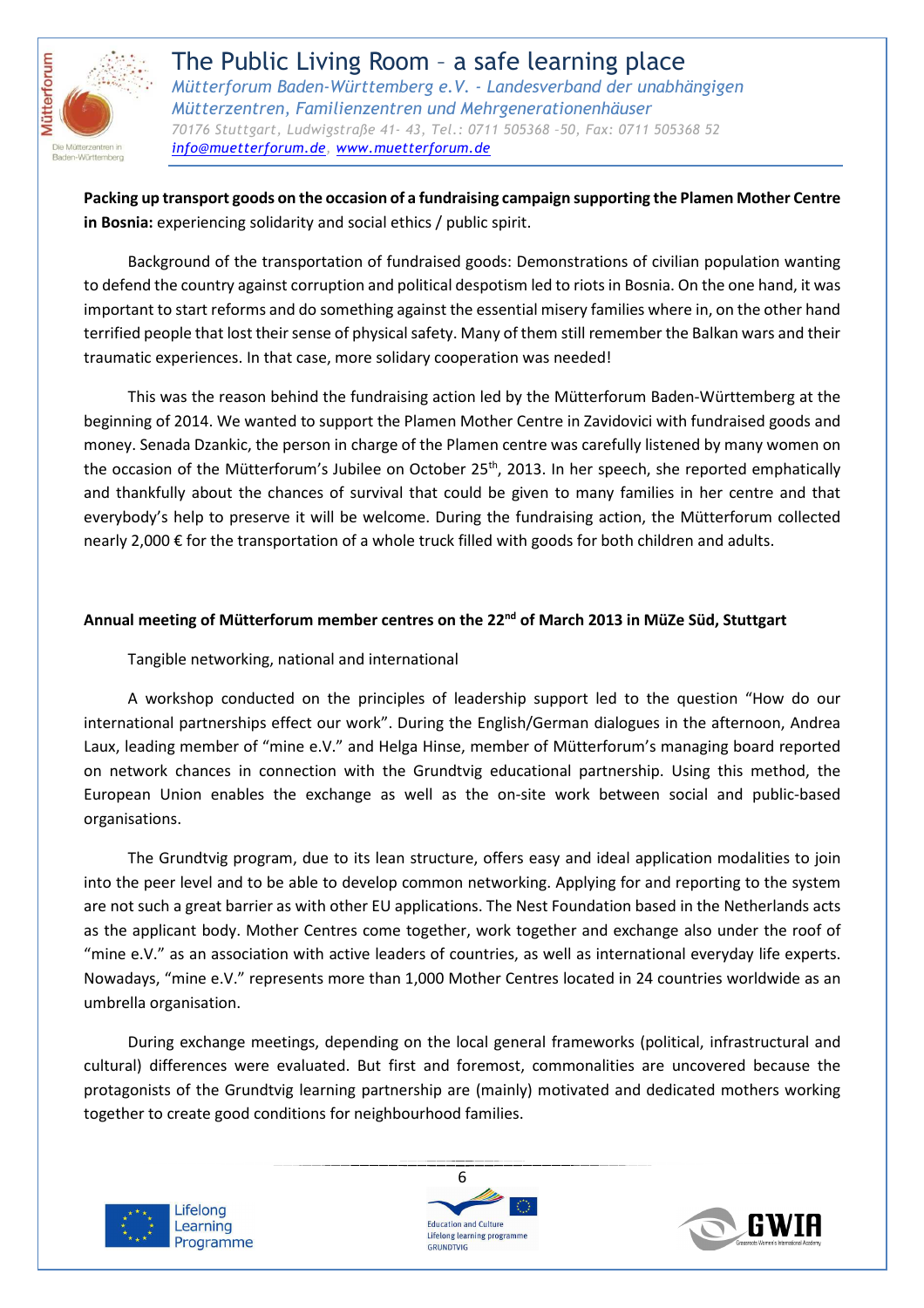

**Packing up transport goods on the occasion of a fundraising campaign supporting the Plamen Mother Centre in Bosnia:** experiencing solidarity and social ethics / public spirit.

Background of the transportation of fundraised goods: Demonstrations of civilian population wanting to defend the country against corruption and political despotism led to riots in Bosnia. On the one hand, it was important to start reforms and do something against the essential misery families where in, on the other hand terrified people that lost their sense of physical safety. Many of them still remember the Balkan wars and their traumatic experiences. In that case, more solidary cooperation was needed!

This was the reason behind the fundraising action led by the Mütterforum Baden-Württemberg at the beginning of 2014. We wanted to support the Plamen Mother Centre in Zavidovici with fundraised goods and money. Senada Dzankic, the person in charge of the Plamen centre was carefully listened by many women on the occasion of the Mütterforum's Jubilee on October 25<sup>th</sup>, 2013. In her speech, she reported emphatically and thankfully about the chances of survival that could be given to many families in her centre and that everybody's help to preserve it will be welcome. During the fundraising action, the Mütterforum collected nearly 2,000 € for the transportation of a whole truck filled with goods for both children and adults.

### **Annual meeting of Mütterforum member centres on the 22nd of March 2013 in MüZe Süd, Stuttgart**

### Tangible networking, national and international

A workshop conducted on the principles of leadership support led to the question "How do our international partnerships effect our work". During the English/German dialogues in the afternoon, Andrea Laux, leading member of "mine e.V." and Helga Hinse, member of Mütterforum's managing board reported on network chances in connection with the Grundtvig educational partnership. Using this method, the European Union enables the exchange as well as the on-site work between social and public-based organisations.

The Grundtvig program, due to its lean structure, offers easy and ideal application modalities to join into the peer level and to be able to develop common networking. Applying for and reporting to the system are not such a great barrier as with other EU applications. The Nest Foundation based in the Netherlands acts as the applicant body. Mother Centres come together, work together and exchange also under the roof of "mine e.V." as an association with active leaders of countries, as well as international everyday life experts. Nowadays, "mine e.V." represents more than 1,000 Mother Centres located in 24 countries worldwide as an umbrella organisation.

During exchange meetings, depending on the local general frameworks (political, infrastructural and cultural) differences were evaluated. But first and foremost, commonalities are uncovered because the protagonists of the Grundtvig learning partnership are (mainly) motivated and dedicated mothers working together to create good conditions for neighbourhood families.





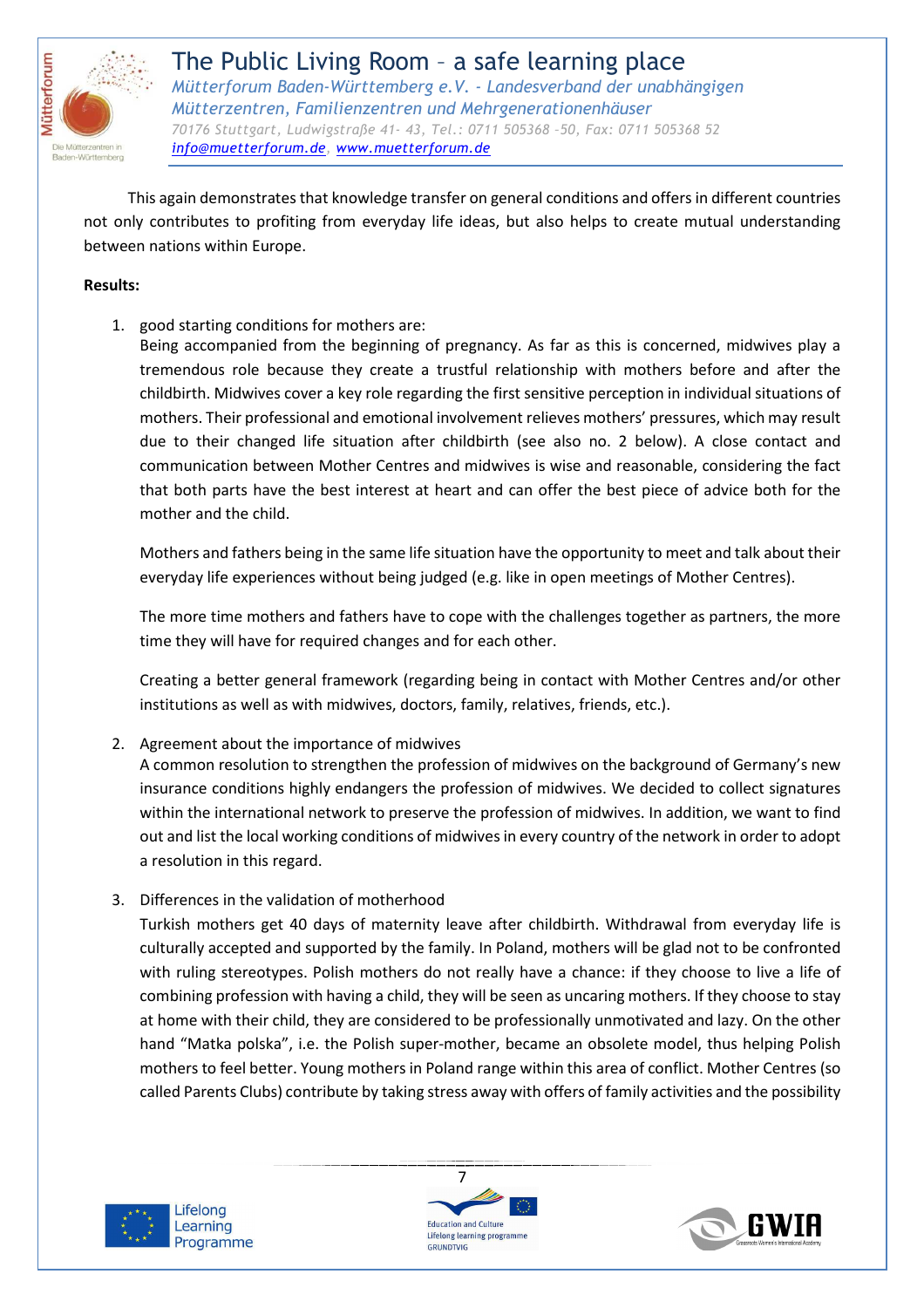

This again demonstrates that knowledge transfer on general conditions and offers in different countries not only contributes to profiting from everyday life ideas, but also helps to create mutual understanding between nations within Europe.

#### **Results:**

1. good starting conditions for mothers are:

Being accompanied from the beginning of pregnancy. As far as this is concerned, midwives play a tremendous role because they create a trustful relationship with mothers before and after the childbirth. Midwives cover a key role regarding the first sensitive perception in individual situations of mothers. Their professional and emotional involvement relieves mothers' pressures, which may result due to their changed life situation after childbirth (see also no. 2 below). A close contact and communication between Mother Centres and midwives is wise and reasonable, considering the fact that both parts have the best interest at heart and can offer the best piece of advice both for the mother and the child.

Mothers and fathers being in the same life situation have the opportunity to meet and talk about their everyday life experiences without being judged (e.g. like in open meetings of Mother Centres).

The more time mothers and fathers have to cope with the challenges together as partners, the more time they will have for required changes and for each other.

Creating a better general framework (regarding being in contact with Mother Centres and/or other institutions as well as with midwives, doctors, family, relatives, friends, etc.).

2. Agreement about the importance of midwives

A common resolution to strengthen the profession of midwives on the background of Germany's new insurance conditions highly endangers the profession of midwives. We decided to collect signatures within the international network to preserve the profession of midwives. In addition, we want to find out and list the local working conditions of midwives in every country of the network in order to adopt a resolution in this regard.

3. Differences in the validation of motherhood

Turkish mothers get 40 days of maternity leave after childbirth. Withdrawal from everyday life is culturally accepted and supported by the family. In Poland, mothers will be glad not to be confronted with ruling stereotypes. Polish mothers do not really have a chance: if they choose to live a life of combining profession with having a child, they will be seen as uncaring mothers. If they choose to stay at home with their child, they are considered to be professionally unmotivated and lazy. On the other hand "Matka polska", i.e. the Polish super-mother, became an obsolete model, thus helping Polish mothers to feel better. Young mothers in Poland range within this area of conflict. Mother Centres (so called Parents Clubs) contribute by taking stress away with offers of family activities and the possibility





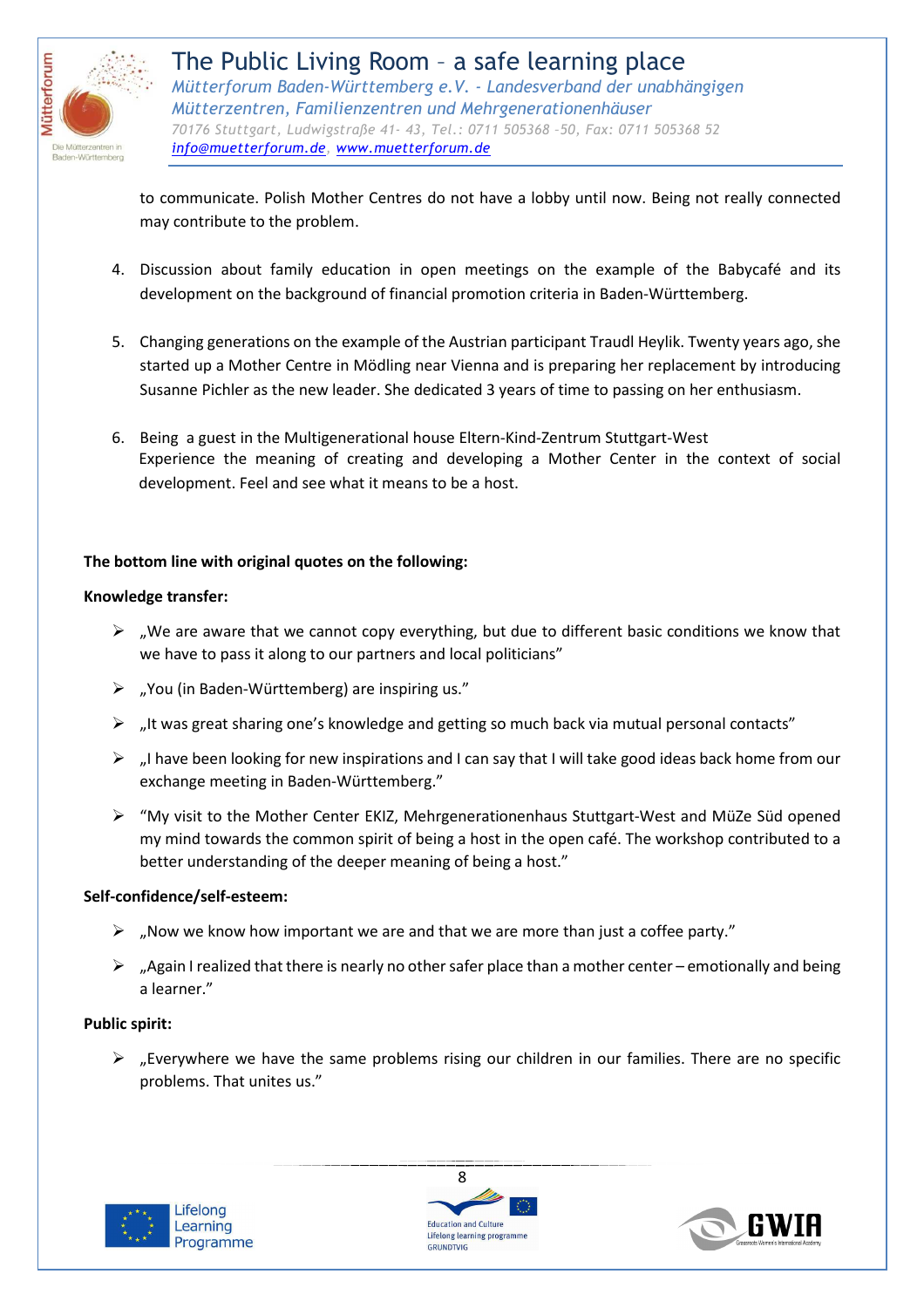

to communicate. Polish Mother Centres do not have a lobby until now. Being not really connected may contribute to the problem.

- 4. Discussion about family education in open meetings on the example of the Babycafé and its development on the background of financial promotion criteria in Baden-Württemberg.
- 5. Changing generations on the example of the Austrian participant Traudl Heylik. Twenty years ago, she started up a Mother Centre in Mödling near Vienna and is preparing her replacement by introducing Susanne Pichler as the new leader. She dedicated 3 years of time to passing on her enthusiasm.
- 6. Being a guest in the Multigenerational house Eltern-Kind-Zentrum Stuttgart-West Experience the meaning of creating and developing a Mother Center in the context of social development. Feel and see what it means to be a host.

### **The bottom line with original quotes on the following:**

#### **Knowledge transfer:**

- $\triangleright$  , We are aware that we cannot copy everything, but due to different basic conditions we know that we have to pass it along to our partners and local politicians"
- $\triangleright$  ... You (in Baden-Württemberg) are inspiring us."
- $\triangleright$  ... It was great sharing one's knowledge and getting so much back via mutual personal contacts"
- $\triangleright$  , I have been looking for new inspirations and I can say that I will take good ideas back home from our exchange meeting in Baden-Württemberg."
- $\triangleright$  "My visit to the Mother Center EKIZ, Mehrgenerationenhaus Stuttgart-West and MüZe Süd opened my mind towards the common spirit of being a host in the open café. The workshop contributed to a better understanding of the deeper meaning of being a host."

### **Self-confidence/self-esteem:**

- $\triangleright$  "Now we know how important we are and that we are more than just a coffee party."
- $\triangleright$  , Again I realized that there is nearly no other safer place than a mother center emotionally and being a learner."

### **Public spirit:**

 $\triangleright$  "Everywhere we have the same problems rising our children in our families. There are no specific problems. That unites us."





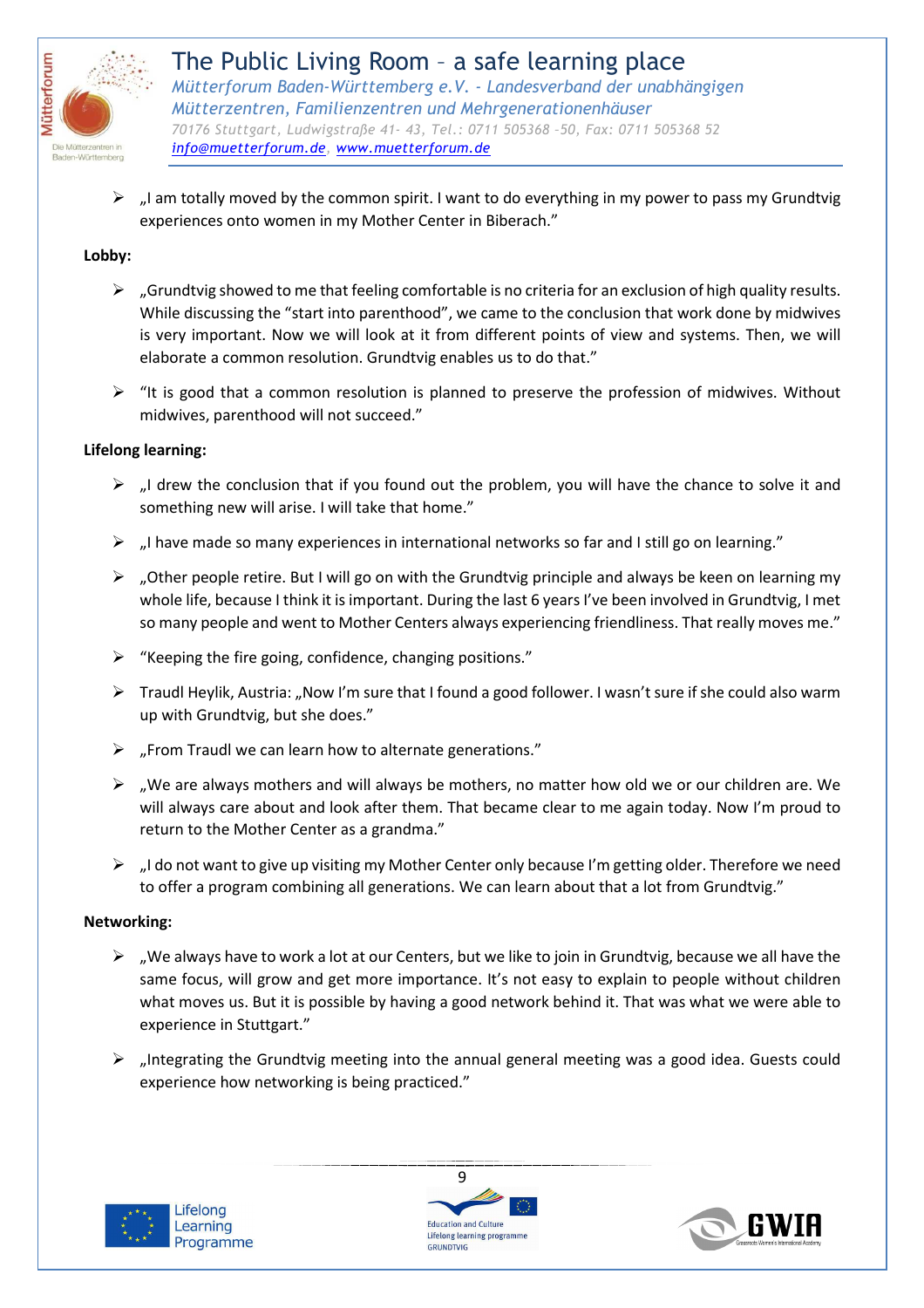

 $\triangleright$  , I am totally moved by the common spirit. I want to do everything in my power to pass my Grundtvig experiences onto women in my Mother Center in Biberach."

#### **Lobby:**

- $\triangleright$  , Grundtvig showed to me that feeling comfortable is no criteria for an exclusion of high quality results. While discussing the "start into parenthood", we came to the conclusion that work done by midwives is very important. Now we will look at it from different points of view and systems. Then, we will elaborate a common resolution. Grundtvig enables us to do that."
- $\triangleright$  "It is good that a common resolution is planned to preserve the profession of midwives. Without midwives, parenthood will not succeed."

#### **Lifelong learning:**

- $\triangleright$  , I drew the conclusion that if you found out the problem, you will have the chance to solve it and something new will arise. I will take that home."
- $\triangleright$  , I have made so many experiences in international networks so far and I still go on learning."
- $\triangleright$  , Other people retire. But I will go on with the Grundtvig principle and always be keen on learning my whole life, because I think it is important. During the last 6 years I've been involved in Grundtvig, I met so many people and went to Mother Centers always experiencing friendliness. That really moves me."
- $\triangleright$  "Keeping the fire going, confidence, changing positions."
- $\triangleright$  Traudl Heylik, Austria: "Now I'm sure that I found a good follower. I wasn't sure if she could also warm up with Grundtvig, but she does."
- $\triangleright$  "From Traudl we can learn how to alternate generations."
- $\triangleright$  , We are always mothers and will always be mothers, no matter how old we or our children are. We will always care about and look after them. That became clear to me again today. Now I'm proud to return to the Mother Center as a grandma."
- $\triangleright$  , I do not want to give up visiting my Mother Center only because I'm getting older. Therefore we need to offer a program combining all generations. We can learn about that a lot from Grundtvig."

#### **Networking:**

- $\triangleright$  , We always have to work a lot at our Centers, but we like to join in Grundtvig, because we all have the same focus, will grow and get more importance. It's not easy to explain to people without children what moves us. But it is possible by having a good network behind it. That was what we were able to experience in Stuttgart."
- $\triangleright$  "Integrating the Grundtvig meeting into the annual general meeting was a good idea. Guests could experience how networking is being practiced."